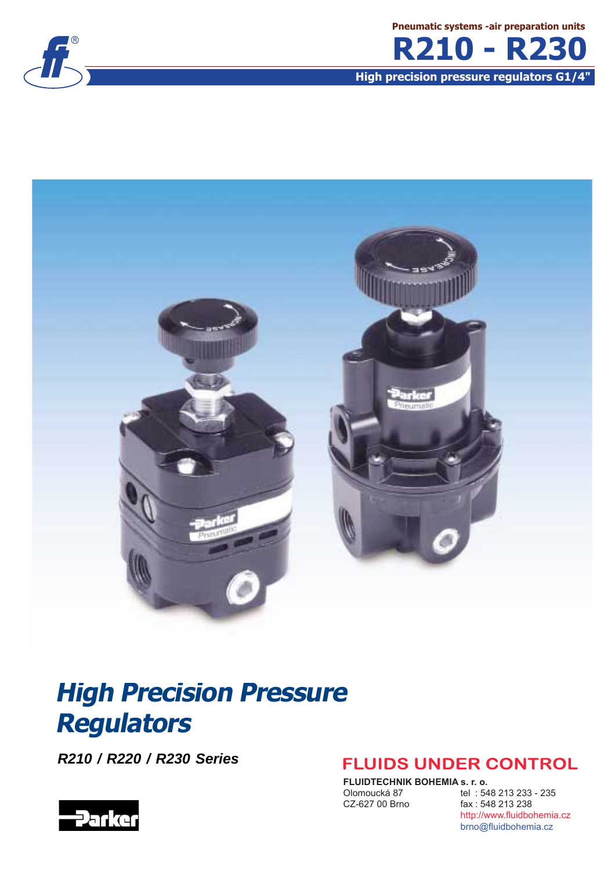

**Pneumatic systems -air preparation units R210 - R230**

**High precision pressure regulators G1/4"**



# **High Precision Pressure Regulators**

**R210 / R220 / R230 Series**



### **FLUIDS UNDER CONTROL**

**FLUIDTECHNIK BOHEMIA s. r. o.**<br>Olomoucká 87 tel : 54

Olomoucká 87 tel : 548 213 233 - 235<br>CZ-627 00 Brno fax : 548 213 238 fax: 548 213 238 http://www.fluidbohemia.cz brno@fluidbohemia.cz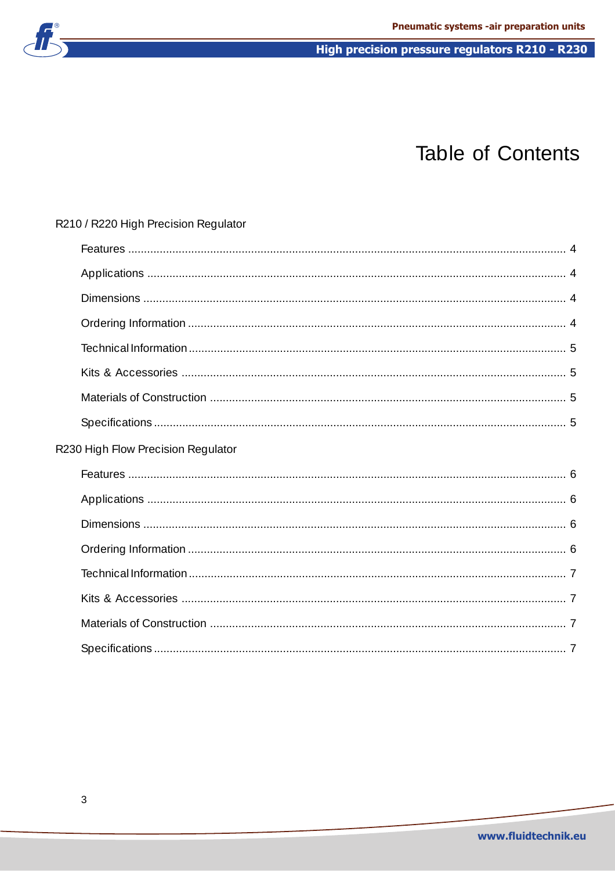

## Table of Contents

| R210 / R220 High Precision Regulator |  |
|--------------------------------------|--|
|                                      |  |
|                                      |  |
|                                      |  |
|                                      |  |
|                                      |  |
|                                      |  |
|                                      |  |
|                                      |  |
| R230 High Flow Precision Regulator   |  |
|                                      |  |
|                                      |  |
|                                      |  |
|                                      |  |
|                                      |  |
|                                      |  |
|                                      |  |
|                                      |  |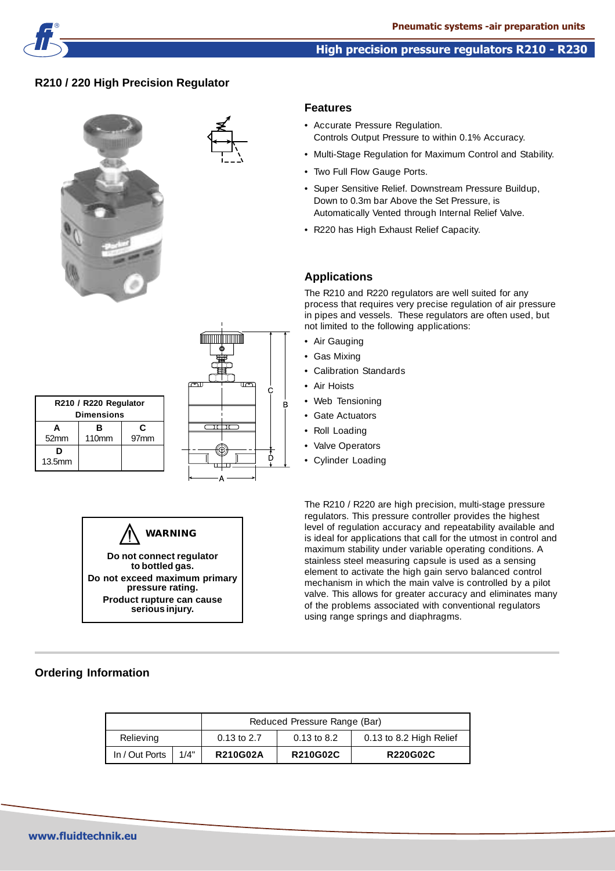

### **R210 / 220 High Precision Regulator**





### **Features**

- Accurate Pressure Regulation. Controls Output Pressure to within 0.1% Accuracy.
- Multi-Stage Regulation for Maximum Control and Stability.
- Two Full Flow Gauge Ports.
- Super Sensitive Relief. Downstream Pressure Buildup, Down to 0.3m bar Above the Set Pressure, is Automatically Vented through Internal Relief Valve.
- R220 has High Exhaust Relief Capacity.

### **Applications**

The R210 and R220 regulators are well suited for any process that requires very precise regulation of air pressure in pipes and vessels. These regulators are often used, but not limited to the following applications:

- Air Gauging
- Gas Mixing
- Calibration Standards
- Air Hoists
- Web Tensioning
- Gate Actuators
- Roll Loading
- Valve Operators
- Cylinder Loading

The R210 / R220 are high precision, multi-stage pressure regulators. This pressure controller provides the highest level of regulation accuracy and repeatability available and is ideal for applications that call for the utmost in control and maximum stability under variable operating conditions. A stainless steel measuring capsule is used as a sensing element to activate the high gain servo balanced control mechanism in which the main valve is controlled by a pilot valve. This allows for greater accuracy and eliminates many of the problems associated with conventional regulators using range springs and diaphragms.

| R210 / R220 Regulator<br><b>Dimensions</b> |                        |                       |  |  |
|--------------------------------------------|------------------------|-----------------------|--|--|
| A<br>52mm                                  | в<br>110 <sub>mm</sub> | C<br>97 <sub>mm</sub> |  |  |
| D<br>13.5mm                                |                        |                       |  |  |



### **Ordering Information**

|                |      |                 | Reduced Pressure Range (Bar) |                         |
|----------------|------|-----------------|------------------------------|-------------------------|
| Relieving      |      | $0.13$ to 2.7   | $0.13$ to 8.2                | 0.13 to 8.2 High Relief |
| In / Out Ports | 1/4" | <b>R210G02A</b> | <b>R210G02C</b>              | <b>R220G02C</b>         |

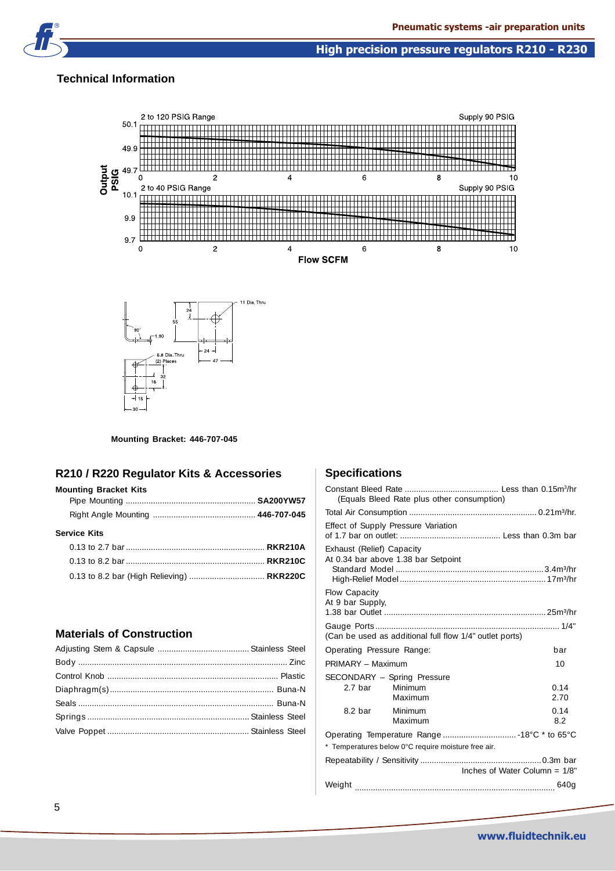### **Technical Information**





#### **Mounting Bracket: 446-707-045**

 $(2)$  Places

### **R210 / R220 Regulator Kits & Accessories**

### **Mounting Bracket Kits**

| <b>Service Kits</b>                       |  |
|-------------------------------------------|--|
|                                           |  |
|                                           |  |
| 0.13 to 8.2 bar (High Relieving)  RKR220C |  |
|                                           |  |

### **Materials of Construction**

### **Specifications**

| (Equals Bleed Rate plus other consumption)                       |                                  |
|------------------------------------------------------------------|----------------------------------|
|                                                                  |                                  |
| Effect of Supply Pressure Variation                              |                                  |
| Exhaust (Relief) Capacity<br>At 0.34 bar above 1.38 bar Setpoint |                                  |
| Flow Capacity<br>At 9 bar Supply,                                |                                  |
| (Can be used as additional full flow 1/4" outlet ports)          |                                  |
| Operating Pressure Range:                                        | bar                              |
| PRIMARY - Maximum                                                | 10                               |
| SECONDARY - Spring Pressure<br>2.7 bar Minimum<br>Maximum        | 0.14<br>2.70                     |
| 8.2 bar<br>Minimum<br>Maximum                                    | 0.14<br>8.2                      |
|                                                                  |                                  |
| * Temperatures below 0°C require moisture free air.              |                                  |
|                                                                  | Inches of Water Column = $1/8$ " |
|                                                                  |                                  |
|                                                                  |                                  |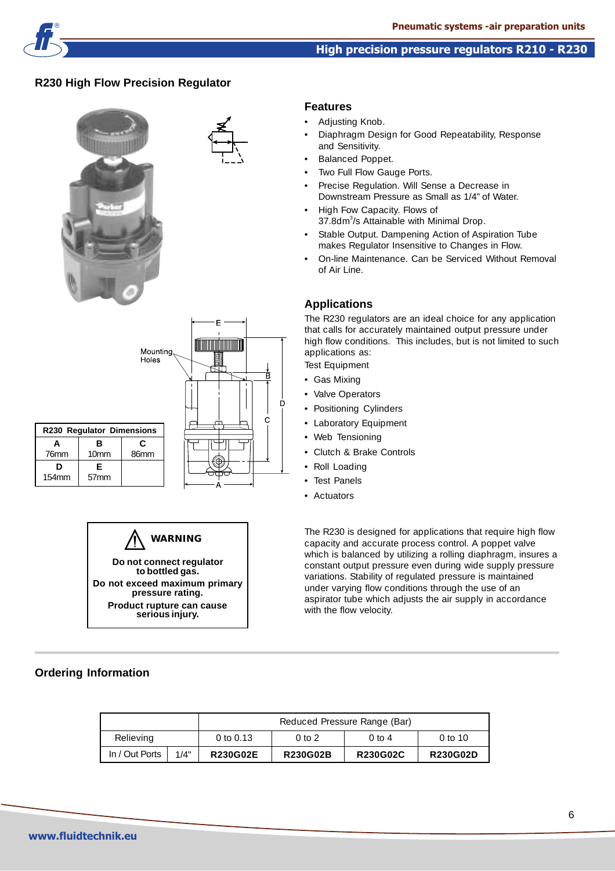

### **R230 High Flow Precision Regulator**







### **Ordering Information**

### **Features**

- Adjusting Knob.
- Diaphragm Design for Good Repeatability, Response and Sensitivity.
- Balanced Poppet.
- Two Full Flow Gauge Ports.
- Precise Regulation. Will Sense a Decrease in Downstream Pressure as Small as 1/4" of Water.
- High Fow Capacity. Flows of 37.8dm<sup>3</sup>/s Attainable with Minimal Drop.
- Stable Output. Dampening Action of Aspiration Tube makes Regulator Insensitive to Changes in Flow.
- On-line Maintenance. Can be Serviced Without Removal of Air Line.

### **Applications**

The R230 regulators are an ideal choice for any application that calls for accurately maintained output pressure under high flow conditions. This includes, but is not limited to such applications as:

Test Equipment

- Gas Mixing
- Valve Operators
- Positioning Cylinders
- Laboratory Equipment
- Web Tensioning
- Clutch & Brake Controls
- Roll Loading
- Test Panels
- Actuators

The R230 is designed for applications that require high flow capacity and accurate process control. A poppet valve which is balanced by utilizing a rolling diaphragm, insures a constant output pressure even during wide supply pressure variations. Stability of regulated pressure is maintained under varying flow conditions through the use of an aspirator tube which adjusts the air supply in accordance with the flow velocity.

|                |           | Reduced Pressure Range (Bar) |                   |                   |                 |
|----------------|-----------|------------------------------|-------------------|-------------------|-----------------|
| Relieving      | 0 to 0.13 |                              | 0 <sub>to 2</sub> | $0 \text{ to } 4$ | 0 to 10         |
| In / Out Ports | 1/4"      | <b>R230G02E</b>              | <b>R230G02B</b>   | <b>R230G02C</b>   | <b>R230G02D</b> |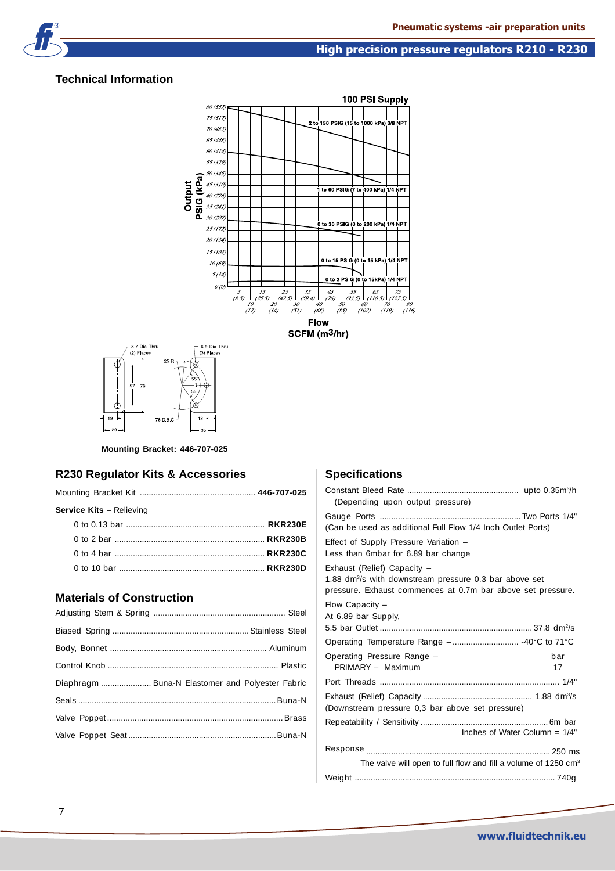### **Technical Information**





### **Mounting Bracket: 446-707-025**

### **R230 Regulator Kits & Accessories**

| Service Kits - Relieving |  |
|--------------------------|--|
|                          |  |
|                          |  |
|                          |  |
|                          |  |

### **Materials of Construction**

| Diaphragm  Buna-N Elastomer and Polyester Fabric |  |
|--------------------------------------------------|--|
|                                                  |  |
|                                                  |  |
|                                                  |  |
|                                                  |  |

### **Specifications**

| (Depending upon output pressure)                                                                                                                                 |           |
|------------------------------------------------------------------------------------------------------------------------------------------------------------------|-----------|
| (Can be used as additional Full Flow 1/4 Inch Outlet Ports)                                                                                                      |           |
| Effect of Supply Pressure Variation -<br>Less than 6mbar for 6.89 bar change                                                                                     |           |
| Exhaust (Relief) Capacity -<br>1.88 dm <sup>3</sup> /s with downstream pressure 0.3 bar above set<br>pressure. Exhaust commences at 0.7m bar above set pressure. |           |
| Flow Capacity -<br>At 6.89 bar Supply,                                                                                                                           |           |
|                                                                                                                                                                  |           |
| Operating Pressure Range -<br>PRIMARY - Maximum                                                                                                                  | bar<br>17 |
|                                                                                                                                                                  |           |
| (Downstream pressure 0,3 bar above set pressure)                                                                                                                 |           |
| Inches of Water Column = $1/4$ "                                                                                                                                 |           |
|                                                                                                                                                                  |           |
| The valve will open to full flow and fill a volume of 1250 cm <sup>3</sup>                                                                                       |           |
|                                                                                                                                                                  |           |